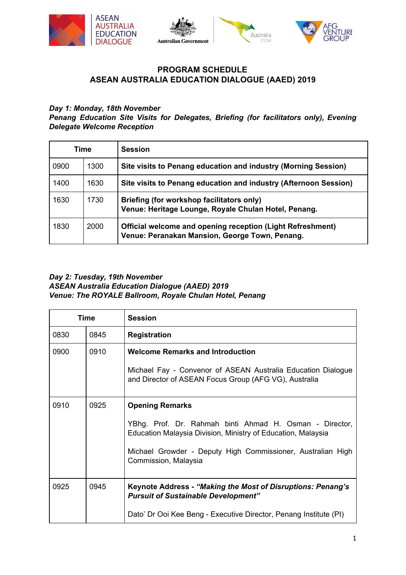







# **PROGRAM SCHEDULE ASEAN AUSTRALIA EDUCATION DIALOGUE (AAED) 2019**

### *Day 1: Monday, 18th November*

*Penang Education Site Visits for Delegates, Briefing (for facilitators only), Evening Delegate Welcome Reception*

| Time |      | <b>Session</b>                                                                                               |
|------|------|--------------------------------------------------------------------------------------------------------------|
| 0900 | 1300 | Site visits to Penang education and industry (Morning Session)                                               |
| 1400 | 1630 | Site visits to Penang education and industry (Afternoon Session)                                             |
| 1630 | 1730 | Briefing (for workshop facilitators only)<br>Venue: Heritage Lounge, Royale Chulan Hotel, Penang.            |
| 1830 | 2000 | Official welcome and opening reception (Light Refreshment)<br>Venue: Peranakan Mansion, George Town, Penang. |

#### *Day 2: Tuesday, 19th November ASEAN Australia Education Dialogue (AAED) 2019 Venue: The ROYALE Ballroom, Royale Chulan Hotel, Penang*

| Time |      | <b>Session</b>                                                                                                                                                                                                                           |
|------|------|------------------------------------------------------------------------------------------------------------------------------------------------------------------------------------------------------------------------------------------|
| 0830 | 0845 | <b>Registration</b>                                                                                                                                                                                                                      |
| 0900 | 0910 | <b>Welcome Remarks and Introduction</b><br>Michael Fay - Convenor of ASEAN Australia Education Dialogue<br>and Director of ASEAN Focus Group (AFG VG), Australia                                                                         |
| 0910 | 0925 | <b>Opening Remarks</b><br>YBhg. Prof. Dr. Rahmah binti Ahmad H. Osman - Director,<br>Education Malaysia Division, Ministry of Education, Malaysia<br>Michael Growder - Deputy High Commissioner, Australian High<br>Commission, Malaysia |
| 0925 | 0945 | Keynote Address - "Making the Most of Disruptions: Penang's<br><b>Pursuit of Sustainable Development"</b><br>Dato' Dr Ooi Kee Beng - Executive Director, Penang Institute (PI)                                                           |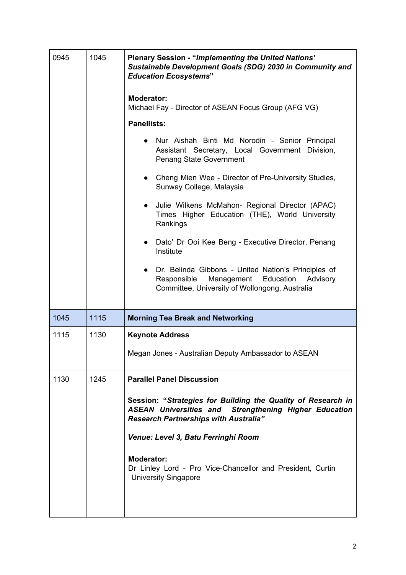| 0945 | 1045 | <b>Plenary Session - "Implementing the United Nations"</b><br>Sustainable Development Goals (SDG) 2030 in Community and<br><b>Education Ecosystems"</b>                      |
|------|------|------------------------------------------------------------------------------------------------------------------------------------------------------------------------------|
|      |      | <b>Moderator:</b><br>Michael Fay - Director of ASEAN Focus Group (AFG VG)                                                                                                    |
|      |      | <b>Panellists:</b>                                                                                                                                                           |
|      |      | Nur Aishah Binti Md Norodin - Senior Principal<br>Assistant Secretary, Local Government Division,<br>Penang State Government                                                 |
|      |      | • Cheng Mien Wee - Director of Pre-University Studies,<br>Sunway College, Malaysia                                                                                           |
|      |      | Julie Wilkens McMahon- Regional Director (APAC)<br>$\bullet$<br>Times Higher Education (THE), World University<br>Rankings                                                   |
|      |      | Dato' Dr Ooi Kee Beng - Executive Director, Penang<br>$\bullet$<br>Institute                                                                                                 |
|      |      | Dr. Belinda Gibbons - United Nation's Principles of<br>Responsible<br>Management<br>Education<br>Advisory<br>Committee, University of Wollongong, Australia                  |
| 1045 | 1115 | <b>Morning Tea Break and Networking</b>                                                                                                                                      |
| 1115 | 1130 | <b>Keynote Address</b>                                                                                                                                                       |
|      |      | Megan Jones - Australian Deputy Ambassador to ASEAN                                                                                                                          |
| 1130 | 1245 | <b>Parallel Panel Discussion</b>                                                                                                                                             |
|      |      | Session: "Strategies for Building the Quality of Research in<br><b>ASEAN Universities and Strengthening Higher Education</b><br><b>Research Partnerships with Australia"</b> |
|      |      | Venue: Level 3, Batu Ferringhi Room                                                                                                                                          |
|      |      | <b>Moderator:</b><br>Dr Linley Lord - Pro Vice-Chancellor and President, Curtin<br><b>University Singapore</b>                                                               |
|      |      |                                                                                                                                                                              |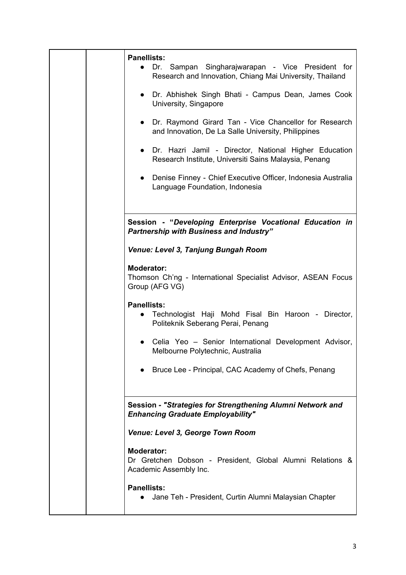|  | <b>Panellists:</b><br>Sampan Singharajwarapan - Vice President for<br>Dr.<br>Research and Innovation, Chiang Mai University, Thailand |
|--|---------------------------------------------------------------------------------------------------------------------------------------|
|  | Dr. Abhishek Singh Bhati - Campus Dean, James Cook<br>$\bullet$<br>University, Singapore                                              |
|  | Dr. Raymond Girard Tan - Vice Chancellor for Research<br>$\bullet$<br>and Innovation, De La Salle University, Philippines             |
|  | Dr. Hazri Jamil - Director, National Higher Education<br>$\bullet$<br>Research Institute, Universiti Sains Malaysia, Penang           |
|  | Denise Finney - Chief Executive Officer, Indonesia Australia<br>$\bullet$<br>Language Foundation, Indonesia                           |
|  |                                                                                                                                       |
|  | Session - "Developing Enterprise Vocational Education in<br><b>Partnership with Business and Industry"</b>                            |
|  | Venue: Level 3, Tanjung Bungah Room                                                                                                   |
|  | <b>Moderator:</b><br>Thomson Ch'ng - International Specialist Advisor, ASEAN Focus<br>Group (AFG VG)                                  |
|  | <b>Panellists:</b><br>Technologist Haji Mohd Fisal Bin Haroon - Director,<br>$\bullet$<br>Politeknik Seberang Perai, Penang           |
|  | Celia Yeo - Senior International Development Advisor,<br>Melbourne Polytechnic, Australia                                             |
|  | Bruce Lee - Principal, CAC Academy of Chefs, Penang                                                                                   |
|  | Session - "Strategies for Strengthening Alumni Network and<br><b>Enhancing Graduate Employability"</b>                                |
|  | Venue: Level 3, George Town Room                                                                                                      |
|  | <b>Moderator:</b><br>Dr Gretchen Dobson - President, Global Alumni Relations &<br>Academic Assembly Inc.                              |
|  | <b>Panellists:</b><br>Jane Teh - President, Curtin Alumni Malaysian Chapter                                                           |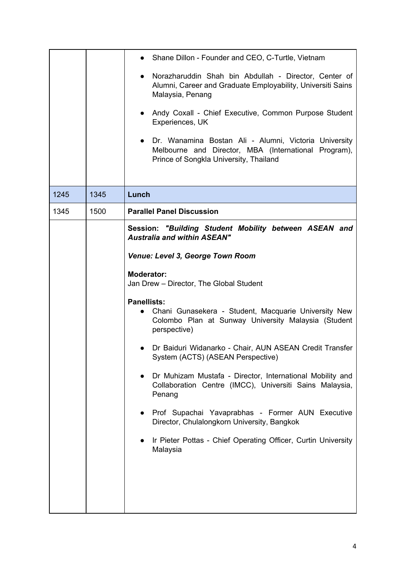|      |      | Shane Dillon - Founder and CEO, C-Turtle, Vietnam<br>$\bullet$                                                                                            |
|------|------|-----------------------------------------------------------------------------------------------------------------------------------------------------------|
|      |      | Norazharuddin Shah bin Abdullah - Director, Center of<br>$\bullet$<br>Alumni, Career and Graduate Employability, Universiti Sains<br>Malaysia, Penang     |
|      |      | • Andy Coxall - Chief Executive, Common Purpose Student<br>Experiences, UK                                                                                |
|      |      | • Dr. Wanamina Bostan Ali - Alumni, Victoria University<br>Melbourne and Director, MBA (International Program),<br>Prince of Songkla University, Thailand |
| 1245 | 1345 | Lunch                                                                                                                                                     |
| 1345 | 1500 | <b>Parallel Panel Discussion</b>                                                                                                                          |
|      |      |                                                                                                                                                           |
|      |      | Session: "Building Student Mobility between ASEAN and<br><b>Australia and within ASEAN"</b>                                                               |
|      |      | <b>Venue: Level 3, George Town Room</b>                                                                                                                   |
|      |      | <b>Moderator:</b><br>Jan Drew - Director, The Global Student                                                                                              |
|      |      | <b>Panellists:</b><br>Chani Gunasekera - Student, Macquarie University New<br>Colombo Plan at Sunway University Malaysia (Student<br>perspective)         |
|      |      | Dr Baiduri Widanarko - Chair, AUN ASEAN Credit Transfer<br>System (ACTS) (ASEAN Perspective)                                                              |
|      |      | Dr Muhizam Mustafa - Director, International Mobility and<br>$\bullet$<br>Collaboration Centre (IMCC), Universiti Sains Malaysia,<br>Penang               |
|      |      | Prof Supachai Yavaprabhas - Former AUN Executive<br>$\bullet$<br>Director, Chulalongkorn University, Bangkok                                              |
|      |      | Ir Pieter Pottas - Chief Operating Officer, Curtin University<br>$\bullet$<br>Malaysia                                                                    |
|      |      |                                                                                                                                                           |
|      |      |                                                                                                                                                           |
|      |      |                                                                                                                                                           |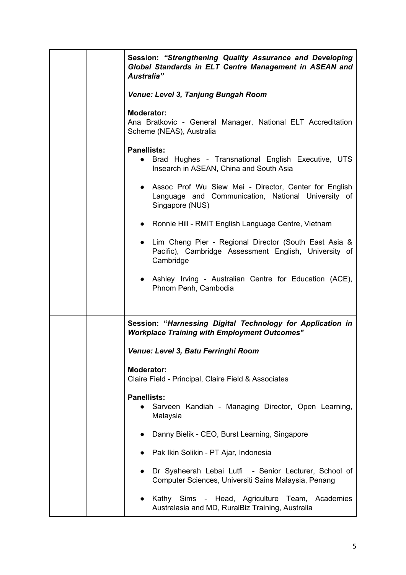|  | Session: "Strengthening Quality Assurance and Developing<br>Global Standards in ELT Centre Management in ASEAN and<br>Australia" |
|--|----------------------------------------------------------------------------------------------------------------------------------|
|  | Venue: Level 3, Tanjung Bungah Room                                                                                              |
|  | <b>Moderator:</b><br>Ana Bratkovic - General Manager, National ELT Accreditation<br>Scheme (NEAS), Australia                     |
|  | <b>Panellists:</b><br>Brad Hughes - Transnational English Executive, UTS<br>$\bullet$<br>Insearch in ASEAN, China and South Asia |
|  | • Assoc Prof Wu Siew Mei - Director, Center for English<br>Language and Communication, National University of<br>Singapore (NUS) |
|  | • Ronnie Hill - RMIT English Language Centre, Vietnam                                                                            |
|  | • Lim Cheng Pier - Regional Director (South East Asia &<br>Pacific), Cambridge Assessment English, University of<br>Cambridge    |
|  | • Ashley Irving - Australian Centre for Education (ACE),<br>Phnom Penh, Cambodia                                                 |
|  | Session: "Harnessing Digital Technology for Application in<br><b>Workplace Training with Employment Outcomes"</b>                |
|  | Venue: Level 3, Batu Ferringhi Room                                                                                              |
|  | Moderator:<br>Claire Field - Principal, Claire Field & Associates                                                                |
|  | <b>Panellists:</b><br>Sarveen Kandiah - Managing Director, Open Learning,<br>Malaysia                                            |
|  | Danny Bielik - CEO, Burst Learning, Singapore                                                                                    |
|  | Pak Ikin Solikin - PT Ajar, Indonesia                                                                                            |
|  | Dr Syaheerah Lebai Lutfi - Senior Lecturer, School of<br>$\bullet$<br>Computer Sciences, Universiti Sains Malaysia, Penang       |
|  | Kathy Sims - Head, Agriculture Team, Academies<br>Australasia and MD, RuralBiz Training, Australia                               |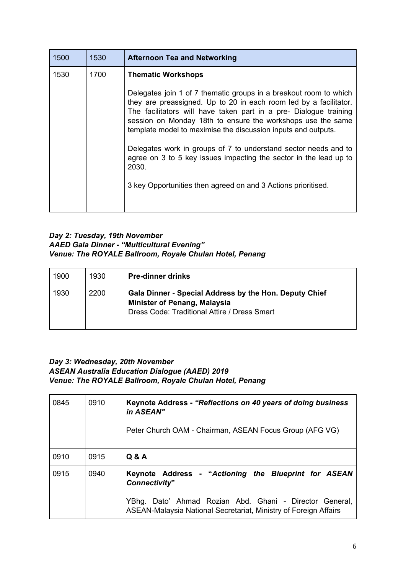| 1500 | 1530 | <b>Afternoon Tea and Networking</b>                                                                                                                                                                                                                                                                                                                                                                                                                                                          |
|------|------|----------------------------------------------------------------------------------------------------------------------------------------------------------------------------------------------------------------------------------------------------------------------------------------------------------------------------------------------------------------------------------------------------------------------------------------------------------------------------------------------|
| 1530 | 1700 | <b>Thematic Workshops</b>                                                                                                                                                                                                                                                                                                                                                                                                                                                                    |
|      |      | Delegates join 1 of 7 thematic groups in a breakout room to which<br>they are preassigned. Up to 20 in each room led by a facilitator.<br>The facilitators will have taken part in a pre- Dialogue training<br>session on Monday 18th to ensure the workshops use the same<br>template model to maximise the discussion inputs and outputs.<br>Delegates work in groups of 7 to understand sector needs and to<br>agree on 3 to 5 key issues impacting the sector in the lead up to<br>2030. |
|      |      | 3 key Opportunities then agreed on and 3 Actions prioritised.                                                                                                                                                                                                                                                                                                                                                                                                                                |
|      |      |                                                                                                                                                                                                                                                                                                                                                                                                                                                                                              |

## *Day 2: Tuesday, 19th November AAED Gala Dinner - "Multicultural Evening" Venue: The ROYALE Ballroom, Royale Chulan Hotel, Penang*

| 1900 | 1930 | <b>Pre-dinner drinks</b>                                                                                                                      |
|------|------|-----------------------------------------------------------------------------------------------------------------------------------------------|
| 1930 | 2200 | Gala Dinner - Special Address by the Hon. Deputy Chief<br><b>Minister of Penang, Malaysia</b><br>Dress Code: Traditional Attire / Dress Smart |

### *Day 3: Wednesday, 20th November ASEAN Australia Education Dialogue (AAED) 2019 Venue: The ROYALE Ballroom, Royale Chulan Hotel, Penang*

| 0845 | 0910 | Keynote Address - "Reflections on 40 years of doing business<br>in ASEAN"<br>Peter Church OAM - Chairman, ASEAN Focus Group (AFG VG)                                                                 |
|------|------|------------------------------------------------------------------------------------------------------------------------------------------------------------------------------------------------------|
| 0910 | 0915 | Q & A                                                                                                                                                                                                |
| 0915 | 0940 | Keynote Address - "Actioning the Blueprint for ASEAN<br>Connectivity"<br>YBhg. Dato' Ahmad Rozian Abd. Ghani - Director General,<br>ASEAN-Malaysia National Secretariat, Ministry of Foreign Affairs |